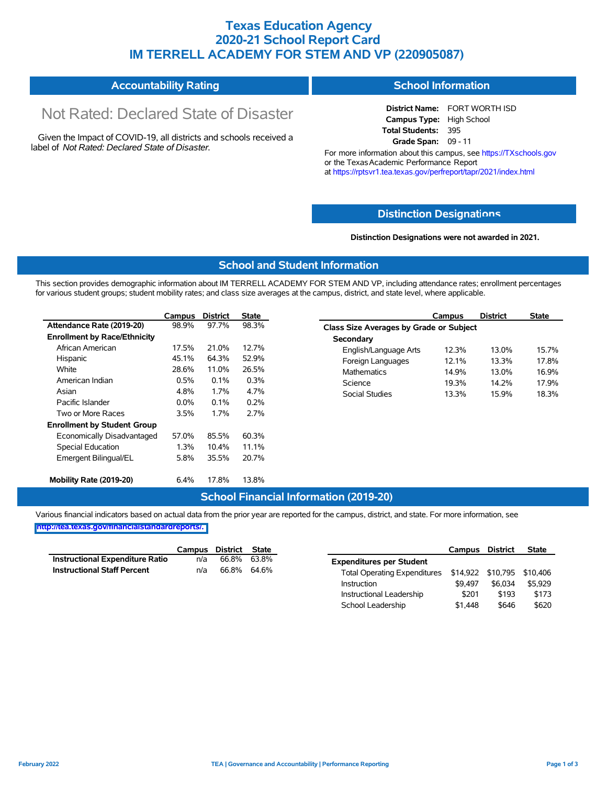## **Texas Education Agency 2020-21 School Report Card IM TERRELL ACADEMY FOR STEM AND VP (220905087)**

#### **Accountability Rating School Information**

# Not Rated: Declared State of Disaster

Given the Impact of COVID-19, all districts and schools received a label of *Not Rated: Declared State of Disaster.*

**District Name:** FORT WORTH ISD **Campus Type:** High School **Total Students:** 395 **Grade Span:** 09 - 11

For more information about this campus, see https://TXschools.gov or the Texas Academic Performance Report at https://rptsvr1.tea.texas.gov/perfreport/tapr/2021/index.html

#### **Distinction Designat[ions](https://TXschools.gov)**

**Distinction Designations were not awarded in 2021.**

School Leadership  $$1,448$   $$646$   $$620$ 

#### **School and Student Information**

This section provides demographic information about IM TERRELL ACADEMY FOR STEM AND VP, including attendance rates; enrollment percentages for various student groups; student mobility rates; and class size averages at the campus, district, and state level, where applicable.

|                                     | Campus | <b>District</b> | <b>State</b> | Campus                                         | <b>District</b> | <b>State</b> |  |  |  |  |
|-------------------------------------|--------|-----------------|--------------|------------------------------------------------|-----------------|--------------|--|--|--|--|
| Attendance Rate (2019-20)           | 98.9%  | 97.7%           | 98.3%        | <b>Class Size Averages by Grade or Subject</b> |                 |              |  |  |  |  |
| <b>Enrollment by Race/Ethnicity</b> |        |                 |              | Secondary                                      |                 |              |  |  |  |  |
| African American                    | 17.5%  | 21.0%           | 12.7%        | English/Language Arts<br>12.3%                 | 13.0%           | 15.7%        |  |  |  |  |
| Hispanic                            | 45.1%  | 64.3%           | 52.9%        | Foreign Languages<br>12.1%                     | 13.3%           | 17.8%        |  |  |  |  |
| White                               | 28.6%  | 11.0%           | 26.5%        | 14.9%<br><b>Mathematics</b>                    | 13.0%           | 16.9%        |  |  |  |  |
| American Indian                     | 0.5%   | 0.1%            | 0.3%         | Science<br>19.3%                               | 14.2%           | 17.9%        |  |  |  |  |
| Asian                               | 4.8%   | 1.7%            | 4.7%         | Social Studies<br>13.3%                        | 15.9%           | 18.3%        |  |  |  |  |
| Pacific Islander                    | 0.0%   | 0.1%            | 0.2%         |                                                |                 |              |  |  |  |  |
| Two or More Races                   | 3.5%   | 1.7%            | 2.7%         |                                                |                 |              |  |  |  |  |
| <b>Enrollment by Student Group</b>  |        |                 |              |                                                |                 |              |  |  |  |  |
| Economically Disadvantaged          | 57.0%  | 85.5%           | 60.3%        |                                                |                 |              |  |  |  |  |
| Special Education                   | 1.3%   | 10.4%           | 11.1%        |                                                |                 |              |  |  |  |  |
| Emergent Bilingual/EL               | 5.8%   | 35.5%           | 20.7%        |                                                |                 |              |  |  |  |  |
| Mobility Rate (2019-20)             | 6.4%   | 17.8%           | 13.8%        |                                                |                 |              |  |  |  |  |

#### **School Financial Information (2019-20)**

Various financial indicators based on actual data from the prior year are reported for the campus, district, and state. For more information, see

**[http://tea.texas.gov/financialstandardreports/.](http://tea.texas.gov/financialstandardreports/)**

|                                        | Campus | District State |             |                                                         | Campus  | <b>District</b> | <b>State</b> |
|----------------------------------------|--------|----------------|-------------|---------------------------------------------------------|---------|-----------------|--------------|
| <b>Instructional Expenditure Ratio</b> | n/a    | 66.8%          | 63.8%       | <b>Expenditures per Student</b>                         |         |                 |              |
| <b>Instructional Staff Percent</b>     | n/a    |                | 66.8% 64.6% | Total Operating Expenditures \$14,922 \$10,795 \$10,406 |         |                 |              |
|                                        |        |                |             | Instruction                                             | \$9.497 | \$6.034         | \$5.929      |
|                                        |        |                |             | Instructional Leadership                                | \$201   | \$193           | \$173        |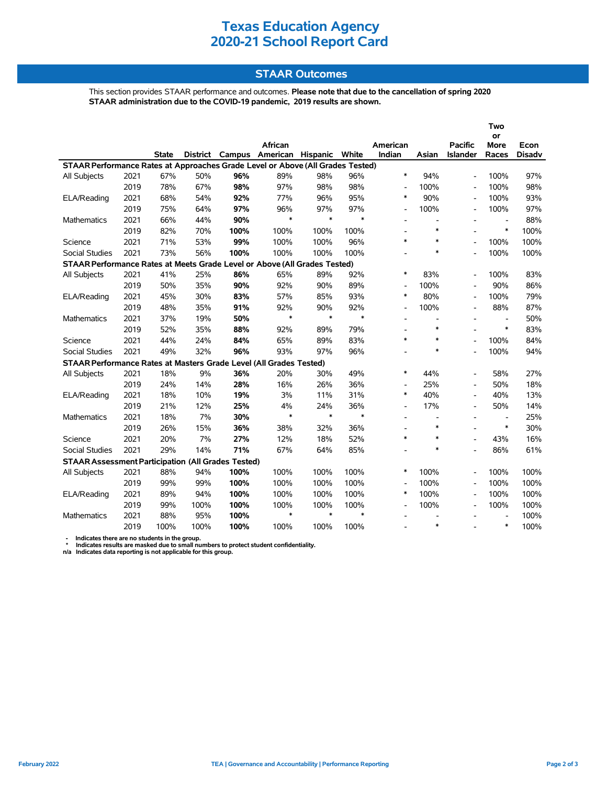# **Texas Education Agency 2020-21 School Report Card**

#### **STAAR Outcomes**

This section provides STAAR performance and outcomes. **Please note that due to the cancellation of spring 2020 STAAR administration due to the COVID-19 pandemic, 2019 results are shown.**

|                                                                                                            |      |              |          |      |                |        |        |                          |                          |                          | Two                      |               |
|------------------------------------------------------------------------------------------------------------|------|--------------|----------|------|----------------|--------|--------|--------------------------|--------------------------|--------------------------|--------------------------|---------------|
|                                                                                                            |      |              |          |      | <b>African</b> |        |        | American                 |                          | <b>Pacific</b>           | or<br><b>More</b>        | Econ          |
|                                                                                                            |      | <b>State</b> | District |      |                |        | White  | Indian                   | Asian                    | <b>Islander</b>          | Races                    | <b>Disadv</b> |
| Campus American Hispanic<br>STAAR Performance Rates at Approaches Grade Level or Above (All Grades Tested) |      |              |          |      |                |        |        |                          |                          |                          |                          |               |
| All Subjects                                                                                               | 2021 | 67%          | 50%      | 96%  | 89%            | 98%    | 96%    | $\ast$                   | 94%                      | $\overline{a}$           | 100%                     | 97%           |
|                                                                                                            | 2019 | 78%          | 67%      | 98%  | 97%            | 98%    | 98%    | $\overline{\phantom{a}}$ | 100%                     | $\overline{\phantom{a}}$ | 100%                     | 98%           |
| ELA/Reading                                                                                                | 2021 | 68%          | 54%      | 92%  | 77%            | 96%    | 95%    | $\ast$                   | 90%                      | $\blacksquare$           | 100%                     | 93%           |
|                                                                                                            | 2019 | 75%          | 64%      | 97%  | 96%            | 97%    | 97%    | $\overline{\phantom{a}}$ | 100%                     | $\overline{\phantom{a}}$ | 100%                     | 97%           |
| <b>Mathematics</b>                                                                                         | 2021 | 66%          | 44%      | 90%  | $\ast$         | $\ast$ | $\ast$ | $\overline{a}$           | $\overline{\phantom{a}}$ | ۰                        |                          | 88%           |
|                                                                                                            | 2019 | 82%          | 70%      | 100% | 100%           | 100%   | 100%   |                          | $\ast$                   |                          | $\ast$                   | 100%          |
| Science                                                                                                    | 2021 | 71%          | 53%      | 99%  | 100%           | 100%   | 96%    | $\ast$                   | $\ast$                   |                          | 100%                     | 100%          |
| <b>Social Studies</b>                                                                                      | 2021 | 73%          | 56%      | 100% | 100%           | 100%   | 100%   | $\overline{a}$           | $\ast$                   |                          | 100%                     | 100%          |
| STAAR Performance Rates at Meets Grade Level or Above (All Grades Tested)                                  |      |              |          |      |                |        |        |                          |                          |                          |                          |               |
| All Subjects                                                                                               | 2021 | 41%          | 25%      | 86%  | 65%            | 89%    | 92%    | $\ast$                   | 83%                      |                          | 100%                     | 83%           |
|                                                                                                            | 2019 | 50%          | 35%      | 90%  | 92%            | 90%    | 89%    | L,                       | 100%                     |                          | 90%                      | 86%           |
| ELA/Reading                                                                                                | 2021 | 45%          | 30%      | 83%  | 57%            | 85%    | 93%    | $\ast$                   | 80%                      | $\overline{a}$           | 100%                     | 79%           |
|                                                                                                            | 2019 | 48%          | 35%      | 91%  | 92%            | 90%    | 92%    | $\overline{\phantom{a}}$ | 100%                     | ٠                        | 88%                      | 87%           |
| Mathematics                                                                                                | 2021 | 37%          | 19%      | 50%  | $\ast$         | $\ast$ | $\ast$ | $\overline{\phantom{a}}$ | $\overline{\phantom{a}}$ |                          | $\overline{\phantom{a}}$ | 50%           |
|                                                                                                            | 2019 | 52%          | 35%      | 88%  | 92%            | 89%    | 79%    | $\overline{a}$           | $\ast$                   |                          | $\ast$                   | 83%           |
| Science                                                                                                    | 2021 | 44%          | 24%      | 84%  | 65%            | 89%    | 83%    | $\ast$                   | $\ast$                   | ۰                        | 100%                     | 84%           |
| <b>Social Studies</b>                                                                                      | 2021 | 49%          | 32%      | 96%  | 93%            | 97%    | 96%    | $\overline{a}$           | $\ast$                   | $\overline{a}$           | 100%                     | 94%           |
| STAAR Performance Rates at Masters Grade Level (All Grades Tested)                                         |      |              |          |      |                |        |        |                          |                          |                          |                          |               |
| All Subjects                                                                                               | 2021 | 18%          | 9%       | 36%  | 20%            | 30%    | 49%    | $\ast$                   | 44%                      | $\overline{\phantom{a}}$ | 58%                      | 27%           |
|                                                                                                            | 2019 | 24%          | 14%      | 28%  | 16%            | 26%    | 36%    | $\overline{\phantom{a}}$ | 25%                      | $\overline{\phantom{0}}$ | 50%                      | 18%           |
| ELA/Reading                                                                                                | 2021 | 18%          | 10%      | 19%  | 3%             | 11%    | 31%    | $\ast$                   | 40%                      | $\overline{a}$           | 40%                      | 13%           |
|                                                                                                            | 2019 | 21%          | 12%      | 25%  | 4%             | 24%    | 36%    | $\blacksquare$           | 17%                      | ۰                        | 50%                      | 14%           |
| Mathematics                                                                                                | 2021 | 18%          | 7%       | 30%  | $\ast$         | $\ast$ | $\ast$ | $\overline{a}$           | $\overline{\phantom{a}}$ | $\blacksquare$           | $\overline{\phantom{a}}$ | 25%           |
|                                                                                                            | 2019 | 26%          | 15%      | 36%  | 38%            | 32%    | 36%    | $\overline{a}$           | $\ast$                   |                          | $\ast$                   | 30%           |
| Science                                                                                                    | 2021 | 20%          | 7%       | 27%  | 12%            | 18%    | 52%    | $\ast$                   | $\ast$                   | $\overline{a}$           | 43%                      | 16%           |
| <b>Social Studies</b>                                                                                      | 2021 | 29%          | 14%      | 71%  | 67%            | 64%    | 85%    |                          | $\ast$                   | $\overline{a}$           | 86%                      | 61%           |
| <b>STAAR Assessment Participation (All Grades Tested)</b>                                                  |      |              |          |      |                |        |        |                          |                          |                          |                          |               |
| All Subjects                                                                                               | 2021 | 88%          | 94%      | 100% | 100%           | 100%   | 100%   | $\ast$                   | 100%                     |                          | 100%                     | 100%          |
|                                                                                                            | 2019 | 99%          | 99%      | 100% | 100%           | 100%   | 100%   | $\overline{a}$           | 100%                     | $\blacksquare$           | 100%                     | 100%          |
| ELA/Reading                                                                                                | 2021 | 89%          | 94%      | 100% | 100%           | 100%   | 100%   | $\ast$                   | 100%                     | $\blacksquare$           | 100%                     | 100%          |
|                                                                                                            | 2019 | 99%          | 100%     | 100% | 100%           | 100%   | 100%   | $\overline{\phantom{a}}$ | 100%                     | $\blacksquare$           | 100%                     | 100%          |
| <b>Mathematics</b>                                                                                         | 2021 | 88%          | 95%      | 100% | $\ast$         | $\ast$ | $\ast$ |                          |                          |                          | $\overline{\phantom{a}}$ | 100%          |
|                                                                                                            | 2019 | 100%         | 100%     | 100% | 100%           | 100%   | 100%   |                          | $\ast$                   |                          | $\ast$                   | 100%          |

- Indicates there are no students in the group.<br>\* Indicates results are masked due to small numbers to protect student confidentiality.<br>n/a Indicates data reporting is not applicable for this group.